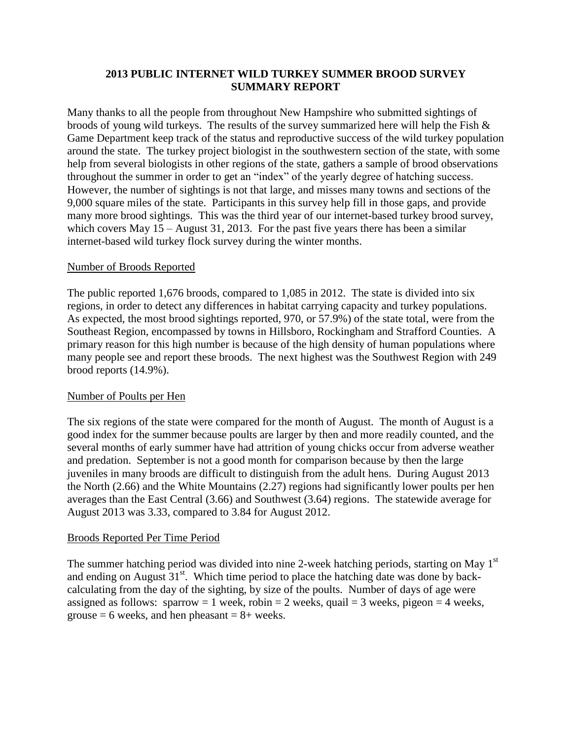## **2013 PUBLIC INTERNET WILD TURKEY SUMMER BROOD SURVEY SUMMARY REPORT**

Many thanks to all the people from throughout New Hampshire who submitted sightings of broods of young wild turkeys. The results of the survey summarized here will help the Fish & Game Department keep track of the status and reproductive success of the wild turkey population around the state. The turkey project biologist in the southwestern section of the state, with some help from several biologists in other regions of the state, gathers a sample of brood observations throughout the summer in order to get an "index" of the yearly degree of hatching success. However, the number of sightings is not that large, and misses many towns and sections of the 9,000 square miles of the state. Participants in this survey help fill in those gaps, and provide many more brood sightings. This was the third year of our internet-based turkey brood survey, which covers May  $15 -$ August 31, 2013. For the past five years there has been a similar internet-based wild turkey flock survey during the winter months.

## Number of Broods Reported

The public reported 1,676 broods, compared to 1,085 in 2012. The state is divided into six regions, in order to detect any differences in habitat carrying capacity and turkey populations. As expected, the most brood sightings reported, 970, or 57.9%) of the state total, were from the Southeast Region, encompassed by towns in Hillsboro, Rockingham and Strafford Counties. A primary reason for this high number is because of the high density of human populations where many people see and report these broods. The next highest was the Southwest Region with 249 brood reports (14.9%).

# Number of Poults per Hen

The six regions of the state were compared for the month of August. The month of August is a good index for the summer because poults are larger by then and more readily counted, and the several months of early summer have had attrition of young chicks occur from adverse weather and predation. September is not a good month for comparison because by then the large juveniles in many broods are difficult to distinguish from the adult hens. During August 2013 the North (2.66) and the White Mountains (2.27) regions had significantly lower poults per hen averages than the East Central (3.66) and Southwest (3.64) regions. The statewide average for August 2013 was 3.33, compared to 3.84 for August 2012.

#### Broods Reported Per Time Period

The summer hatching period was divided into nine 2-week hatching periods, starting on May 1<sup>st</sup> and ending on August  $31<sup>st</sup>$ . Which time period to place the hatching date was done by backcalculating from the day of the sighting, by size of the poults. Number of days of age were assigned as follows: sparrow = 1 week, robin = 2 weeks, quail = 3 weeks, pigeon = 4 weeks, grouse  $= 6$  weeks, and hen pheasant  $= 8 +$  weeks.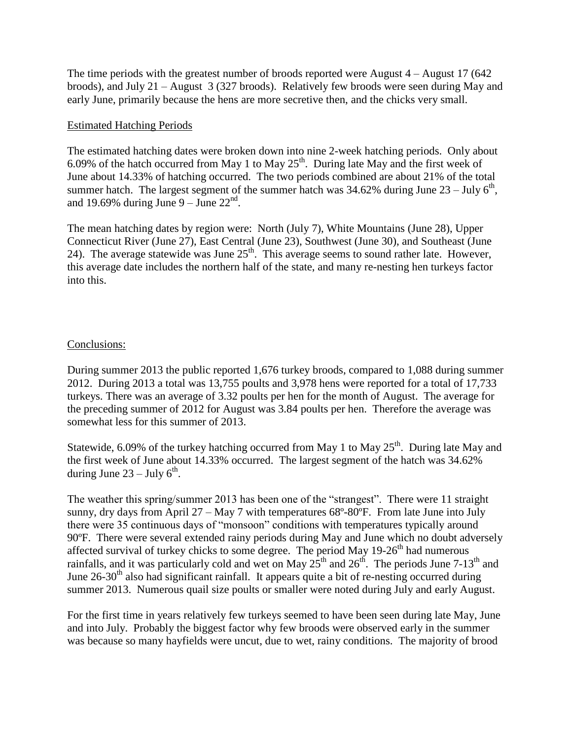The time periods with the greatest number of broods reported were August  $4 -$ August 17 (642) broods), and July 21 –August 3 (327 broods). Relatively few broods were seen during May and early June, primarily because the hens are more secretive then, and the chicks very small.

#### Estimated Hatching Periods

The estimated hatching dates were broken down into nine 2-week hatching periods. Only about 6.09% of the hatch occurred from May 1 to May  $25<sup>th</sup>$ . During late May and the first week of June about 14.33% of hatching occurred. The two periods combined are about 21% of the total summer hatch. The largest segment of the summer hatch was  $34.62\%$  during June  $23 -$  July  $6<sup>th</sup>$ , and 19.69% during June  $9 -$  June  $22<sup>nd</sup>$ .

The mean hatching dates by region were: North (July 7), White Mountains (June 28), Upper Connecticut River (June 27), East Central (June 23), Southwest (June 30), and Southeast (June 24). The average statewide was June  $25<sup>th</sup>$ . This average seems to sound rather late. However, this average date includes the northern half of the state, and many re-nesting hen turkeys factor into this.

#### Conclusions:

During summer 2013 the public reported 1,676 turkey broods, compared to 1,088 during summer 2012. During 2013 a total was 13,755 poults and 3,978 hens were reported for a total of 17,733 turkeys. There was an average of 3.32 poults per hen for the month of August. The average for the preceding summer of 2012 for August was 3.84 poults per hen. Therefore the average was somewhat less for this summer of 2013.

Statewide, 6.09% of the turkey hatching occurred from May 1 to May  $25<sup>th</sup>$ . During late May and the first week of June about 14.33% occurred. The largest segment of the hatch was 34.62% during June  $23 -$  July  $6<sup>th</sup>$ .

The weather this spring/summer 2013 has been one of the "strangest". There were 11 straight sunny, dry days from April  $27 - May 7$  with temperatures  $68^{\circ}$ - $80^{\circ}$ . From late June into July there were 35 continuous days of "monsoon" conditions with temperatures typically around 90ºF. There were several extended rainy periods during May and June which no doubt adversely affected survival of turkey chicks to some degree. The period May  $19-26<sup>th</sup>$  had numerous rainfalls, and it was particularly cold and wet on May  $25<sup>th</sup>$  and  $26<sup>th</sup>$ . The periods June 7-13<sup>th</sup> and June  $26-30<sup>th</sup>$  also had significant rainfall. It appears quite a bit of re-nesting occurred during summer 2013. Numerous quail size poults or smaller were noted during July and early August.

For the first time in years relatively few turkeys seemed to have been seen during late May, June and into July. Probably the biggest factor why few broods were observed early in the summer was because so many hayfields were uncut, due to wet, rainy conditions. The majority of brood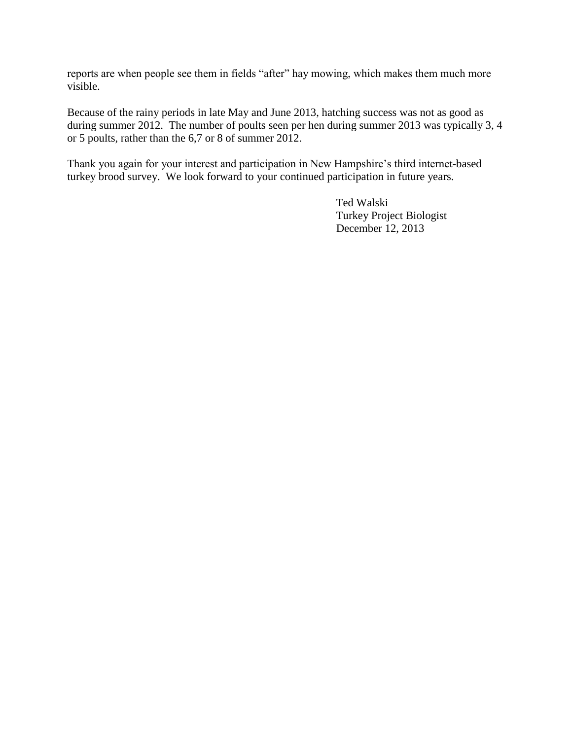reports are when people see them in fields "after" hay mowing, which makes them much more visible.

Because of the rainy periods in late May and June 2013, hatching success was not as good as during summer 2012. The number of poults seen per hen during summer 2013 was typically 3, 4 or 5 poults, rather than the 6,7 or 8 of summer 2012.

Thank you again for your interest and participation in New Hampshire's third internet-based turkey brood survey. We look forward to your continued participation in future years.

> Ted Walski Turkey Project Biologist December 12, 2013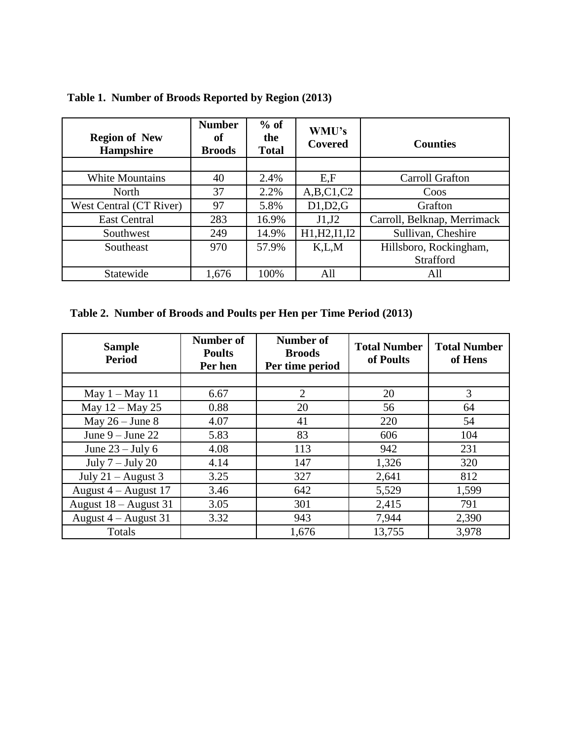| <b>Region of New</b><br><b>Hampshire</b> | <b>Number</b><br>оf<br><b>Broods</b> | $%$ of<br>the<br><b>Total</b> | WMU's<br><b>Covered</b> | <b>Counties</b>             |
|------------------------------------------|--------------------------------------|-------------------------------|-------------------------|-----------------------------|
|                                          |                                      |                               |                         |                             |
| <b>White Mountains</b>                   | 40                                   | 2.4%                          | E.F                     | Carroll Grafton             |
| North                                    | 37                                   | 2.2%                          | A,B,C1,C2               | Coos                        |
| West Central (CT River)                  | 97                                   | 5.8%                          | D1,D2,G                 | Grafton                     |
| <b>East Central</b>                      | 283                                  | 16.9%                         | J1,J2                   | Carroll, Belknap, Merrimack |
| Southwest                                | 249                                  | 14.9%                         | H1, H2, I1, I2          | Sullivan, Cheshire          |
| Southeast                                | 970                                  | 57.9%                         | K.L.M                   | Hillsboro, Rockingham,      |
|                                          |                                      |                               |                         | Strafford                   |
| Statewide                                | 1,676                                | 100%                          | All                     | All                         |

**Table 1. Number of Broods Reported by Region (2013)**

**Table 2. Number of Broods and Poults per Hen per Time Period (2013)**

| <b>Sample</b><br><b>Period</b> | Number of<br><b>Poults</b><br>Per hen | <b>Number of</b><br><b>Broods</b><br>Per time period | <b>Total Number</b><br>of Poults | <b>Total Number</b><br>of Hens |
|--------------------------------|---------------------------------------|------------------------------------------------------|----------------------------------|--------------------------------|
|                                |                                       |                                                      |                                  |                                |
| May $1 -$ May 11               | 6.67                                  | $\overline{2}$                                       | 20                               | 3                              |
| May $12 -$ May 25              | 0.88                                  | 20                                                   | 56                               | 64                             |
| May $26 -$ June 8              | 4.07                                  | 41                                                   | 220                              | 54                             |
| June $9 -$ June 22             | 5.83                                  | 83                                                   | 606                              | 104                            |
| June $23 -$ July 6             | 4.08                                  | 113                                                  | 942                              | 231                            |
| July $7 -$ July 20             | 4.14                                  | 147                                                  | 1,326                            | 320                            |
| July $21 -$ August 3           | 3.25                                  | 327                                                  | 2,641                            | 812                            |
| August $4 -$ August 17         | 3.46                                  | 642                                                  | 5,529                            | 1,599                          |
| August 18 – August 31          | 3.05                                  | 301                                                  | 2,415                            | 791                            |
| August $4 -$ August 31         | 3.32                                  | 943                                                  | 7,944                            | 2,390                          |
| Totals                         |                                       | 1,676                                                | 13,755                           | 3,978                          |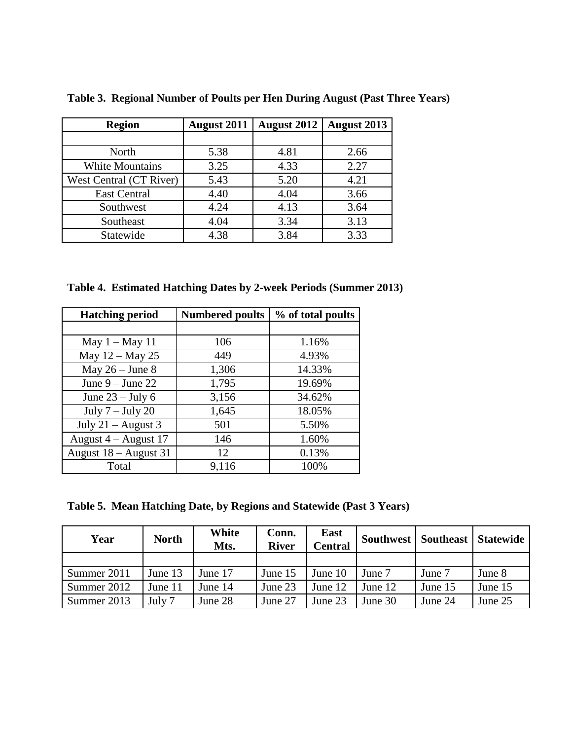| <b>Region</b>           | <b>August 2011</b> | <b>August 2012</b> | <b>August 2013</b> |
|-------------------------|--------------------|--------------------|--------------------|
|                         |                    |                    |                    |
| North                   | 5.38               | 4.81               | 2.66               |
| <b>White Mountains</b>  | 3.25               | 4.33               | 2.27               |
| West Central (CT River) | 5.43               | 5.20               | 4.21               |
| <b>East Central</b>     | 4.40               | 4.04               | 3.66               |
| Southwest               | 4.24               | 4.13               | 3.64               |
| Southeast               | 4.04               | 3.34               | 3.13               |
| Statewide               | 4.38               | 3.84               | 3.33               |

**Table 3. Regional Number of Poults per Hen During August (Past Three Years)**

**Table 4. Estimated Hatching Dates by 2-week Periods (Summer 2013)**

| <b>Hatching period</b> | <b>Numbered poults</b> | % of total poults |
|------------------------|------------------------|-------------------|
|                        |                        |                   |
| May $1 -$ May 11       | 106                    | 1.16%             |
| May 12 – May 25        | 449                    | 4.93%             |
| May $26 -$ June 8      | 1,306                  | 14.33%            |
| June $9 -$ June 22     | 1,795                  | 19.69%            |
| June $23 -$ July 6     | 3,156                  | 34.62%            |
| July $7 -$ July 20     | 1,645                  | 18.05%            |
| July $21 -$ August 3   | 501                    | 5.50%             |
| August $4 -$ August 17 | 146                    | 1.60%             |
| August 18 – August 31  | 12                     | 0.13%             |
| Total                  | 9,116                  | 100%              |

**Table 5. Mean Hatching Date, by Regions and Statewide (Past 3 Years)**

| Year        | <b>North</b> | White<br>Mts. | Conn.<br><b>River</b> | East<br>Central | <b>Southwest</b> | <b>Southeast</b> | <b>Statewide</b> |
|-------------|--------------|---------------|-----------------------|-----------------|------------------|------------------|------------------|
|             |              |               |                       |                 |                  |                  |                  |
| Summer 2011 | June 13      | June 17       | June 15               | June $10$       | June 7           | June 7           | June 8           |
| Summer 2012 | June 11      | June 14       | June 23               | June 12         | June 12          | June 15          | June 15          |
| Summer 2013 | July 7       | June 28       | June 27               | June 23         | June 30          | June 24          | June 25          |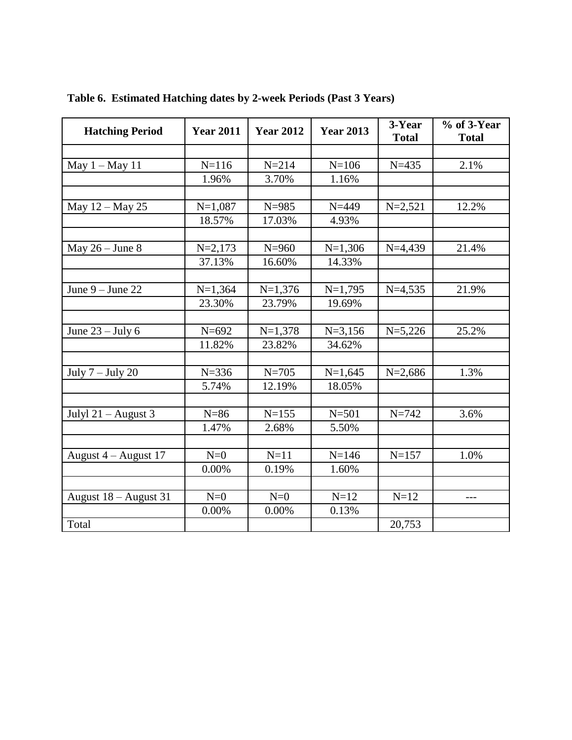| <b>Hatching Period</b> | <b>Year 2011</b> | <b>Year 2012</b> | <b>Year 2013</b> | 3-Year<br><b>Total</b> | $%$ of 3-Year<br><b>Total</b> |
|------------------------|------------------|------------------|------------------|------------------------|-------------------------------|
|                        |                  |                  |                  |                        |                               |
| May 1 - May 11         | $N = 116$        | $N = 214$        | $N = 106$        | $N = 435$              | 2.1%                          |
|                        | 1.96%            | 3.70%            | 1.16%            |                        |                               |
|                        |                  |                  |                  |                        |                               |
| May 12 – May 25        | $N=1,087$        | $N = 985$        | $N = 449$        | $N=2,521$              | 12.2%                         |
|                        | 18.57%           | 17.03%           | 4.93%            |                        |                               |
|                        |                  |                  |                  |                        |                               |
| May $26 -$ June 8      | $N = 2,173$      | $N = 960$        | $N=1,306$        | $N=4,439$              | 21.4%                         |
|                        | 37.13%           | 16.60%           | 14.33%           |                        |                               |
|                        |                  |                  |                  |                        |                               |
| June $9 -$ June 22     | $N=1,364$        | $N=1,376$        | $N=1,795$        | $N=4,535$              | 21.9%                         |
|                        | 23.30%           | 23.79%           | 19.69%           |                        |                               |
|                        |                  |                  |                  |                        |                               |
| June $23 -$ July 6     | $N = 692$        | $N=1,378$        | $N = 3,156$      | $N=5,226$              | 25.2%                         |
|                        | 11.82%           | 23.82%           | 34.62%           |                        |                               |
|                        |                  |                  |                  |                        |                               |
| July $7 -$ July 20     | $N = 336$        | $N = 705$        | $N=1,645$        | $N=2,686$              | 1.3%                          |
|                        | 5.74%            | 12.19%           | 18.05%           |                        |                               |
|                        |                  |                  |                  |                        |                               |
| Julyl $21 -$ August 3  | $N=86$           | $N = 155$        | $N = 501$        | $N = 742$              | 3.6%                          |
|                        | 1.47%            | 2.68%            | 5.50%            |                        |                               |
|                        |                  |                  |                  |                        |                               |
| August 4 - August 17   | $N=0$            | $N=11$           | $N = 146$        | $N = 157$              | 1.0%                          |
|                        | 0.00%            | 0.19%            | 1.60%            |                        |                               |
|                        |                  |                  |                  |                        |                               |
| August 18 - August 31  | $N=0$            | $N=0$            | $N=12$           | $N=12$                 | $---$                         |
|                        | 0.00%            | 0.00%            | 0.13%            |                        |                               |
| Total                  |                  |                  |                  | 20,753                 |                               |

**Table 6. Estimated Hatching dates by 2-week Periods (Past 3 Years)**